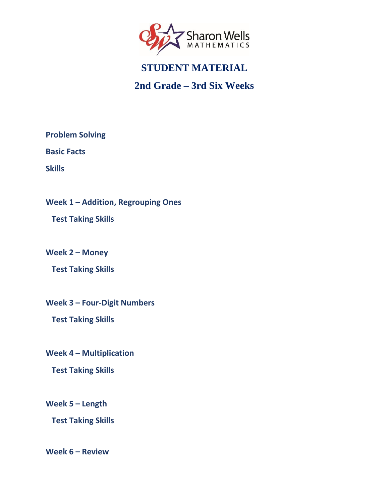<span id="page-0-0"></span>

## **2nd Grade – 3rd Six Weeks**

**[Problem Solving](#page-1-0)**

**[Basic Facts](#page-2-0)**

**[Skills](#page-3-0)**

**Week 1 – [Addition, Regrouping Ones](#page-4-0)**

 **[Test Taking Skills](#page-4-0)**

**[Week 2](#page-5-0) – Money**

 **[Test Taking Skills](#page-5-0)**

**Week 3 – [Four-Digit Numbers](#page-6-0)**

 **[Test Taking Skills](#page-6-0)**

**Week 4 – [Multiplication](#page-7-0)**

 **[Test Taking Skills](#page-7-0)**

**[Week 5](#page-8-0) – Length**

 **[Test Taking Skills](#page-8-0)**

**[Week 6](#page-9-0) – Review**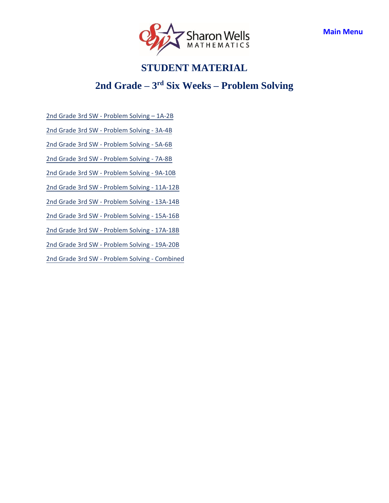

### **2nd Grade – 3 rd Six Weeks – Problem Solving**

<span id="page-1-0"></span>[2nd Grade 3rd SW - Problem Solving](https://access.sharonwells.com/HdEuBK) – 1A-2B

[2nd Grade 3rd SW - Problem Solving - 3A-](https://access.sharonwells.com/h938jA)4B

[2nd Grade 3rd SW - Problem Solving - 5A-6B](https://access.sharonwells.com/qgAPkf)

[2nd Grade 3rd SW - Problem Solving - 7A-8B](https://access.sharonwells.com/pgvdK8)

[2nd Grade 3rd SW - Problem Solving - 9A-10B](https://access.sharonwells.com/JTfUPd)

[2nd Grade 3rd SW - Problem Solving - 11A-12B](https://access.sharonwells.com/rbZfDV)

[2nd Grade 3rd SW - Problem Solving - 13A-14B](https://access.sharonwells.com/pzAJR3)

[2nd Grade 3rd SW - Problem Solving - 15A-16B](https://access.sharonwells.com/R99BZC) 

[2nd Grade 3rd SW - Problem Solving - 17A-18B](https://access.sharonwells.com/Q2TjQd)

[2nd Grade 3rd SW - Problem Solving - 19A-20B](https://access.sharonwells.com/zjqMnH) 

[2nd Grade 3rd SW - Problem Solving - Combined](https://access.sharonwells.com/caE7AR)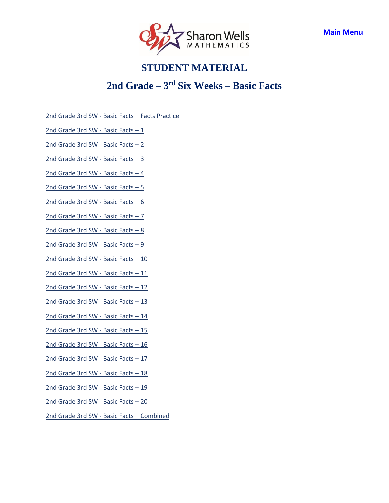

### **2nd Grade – 3 rd Six Weeks – Basic Facts**

<span id="page-2-0"></span>2nd Grade 3rd SW - Basic Facts – [Facts Practice](https://access.sharonwells.com/cTyypt)

2nd Grade 3rd SW - [Basic Facts](https://access.sharonwells.com/KtmMVc) – 1

2nd Grade 3rd SW - [Basic Facts](https://access.sharonwells.com/PGAQfK) – 2

2nd Grade 3rd SW - [Basic Facts](https://access.sharonwells.com/MtH6f8) – 3

2nd Grade 3rd SW - [Basic Facts](https://access.sharonwells.com/vGf8gM) – 4

2nd Grade 3rd SW - [Basic Facts](https://access.sharonwells.com/3Ttn4E) – 5

 $2nd$  Grade 3rd SW - [Basic Facts](https://access.sharonwells.com/BrhDRX) - 6

2nd Grade 3rd SW - [Basic Facts](https://access.sharonwells.com/6nTPcm) – 7

 $2nd$  Grade 3rd SW - [Basic Facts](https://access.sharonwells.com/MRpyrc) - 8

2nd Grade 3rd SW - [Basic Facts](https://access.sharonwells.com/wVq4fv) – 9

2nd Grade 3rd SW - [Basic Facts](https://access.sharonwells.com/v62apJ) – 10

2nd Grade 3rd SW - [Basic Facts](https://access.sharonwells.com/T6ebU2) – 11

2nd Grade 3rd SW - [Basic Facts](https://access.sharonwells.com/p9V2pa) – 12

2nd Grade 3rd SW - [Basic Facts](https://access.sharonwells.com/pjNDUJ) – 13

2nd Grade 3rd SW - [Basic Facts](https://access.sharonwells.com/nT83XP) – 14

2nd Grade 3rd SW - [Basic Facts](https://access.sharonwells.com/9qbBFg) – 15

2nd Grade 3rd SW - [Basic Facts](https://access.sharonwells.com/VHTt4G) – 16

2nd Grade 3rd SW - [Basic Facts](https://access.sharonwells.com/z7cGGc) – 17

2nd Grade 3rd SW - [Basic Facts](https://access.sharonwells.com/mGpRt7) – 18

2nd Grade 3rd SW - [Basic Facts](https://access.sharonwells.com/UqYq8N) – 19

2nd Grade 3rd SW - [Basic Facts](https://access.sharonwells.com/GFdcqR) – 20

2nd Grade 3rd SW - [Basic Facts](https://access.sharonwells.com/dwZtTa) – Combined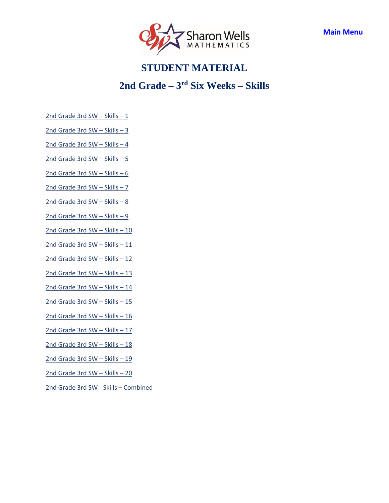

### **2nd Grade – 3 rd Six Weeks – Skills**

- <span id="page-3-0"></span> $2nd$  Grade 3rd SW – Skills – 1
- [2nd Grade](https://access.sharonwells.com/WNeN8d) 3rd SW Skills 3
- [2nd Grade](https://access.sharonwells.com/ZwwZGc) 3rd SW Skills 4
- [2nd Grade](https://access.sharonwells.com/2JaaNz) 3rd SW Skills 5
- [2nd Grade](https://access.sharonwells.com/x4wuz9) 3rd SW Skills 6
- [2nd Grade](https://access.sharonwells.com/6CUY7X) 3rd SW Skills 7
- [2nd Grade](https://access.sharonwells.com/UXUaG2) 3rd SW Skills 8
- [2nd Grade](https://access.sharonwells.com/JjcvqE) 3rd SW Skills 9
- [2nd Grade](https://access.sharonwells.com/VKvWYa) 3rd SW Skills 10
- [2nd Grade](https://access.sharonwells.com/rapPTu) 3rd SW Skills 11
- [2nd Grade](https://access.sharonwells.com/A2rw9R) 3rd SW Skills 12
- [2nd Grade](https://access.sharonwells.com/NBrdFb) 3rd SW Skills 13
- [2nd Grade](https://access.sharonwells.com/azWtcj) 3rd SW Skills 14
- [2nd Grade](https://access.sharonwells.com/8daCCC) 3rd SW Skills 15
- [2nd Grade](https://access.sharonwells.com/Juemf2) 3rd SW Skills 16
- [2nd Grade](https://access.sharonwells.com/4BxBFk) 3rd SW Skills 17
- [2nd Grade](https://access.sharonwells.com/ubauRU) 3rd SW Skills 18
- [2nd Grade](https://access.sharonwells.com/q4b8q9) 3rd SW Skills 19
- [2nd Grade](https://access.sharonwells.com/KJQqwY) 3rd SW Skills 20
- [2nd Grade](https://access.sharonwells.com/a4krpv) 3rd SW Skills Combined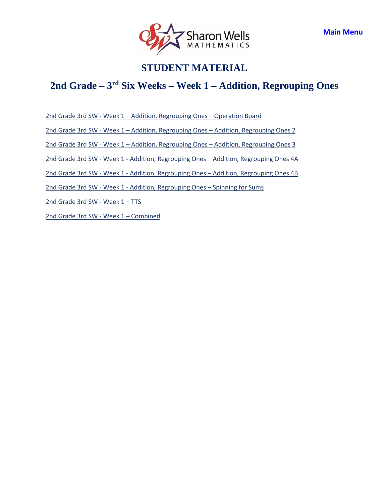

### <span id="page-4-0"></span>**2nd Grade – 3 rd Six Weeks – Week 1 – Addition, Regrouping Ones**

2nd Grade 3rd SW - Week 1 – [Addition, Regrouping Ones](https://access.sharonwells.com/6ph4gE) – Operation Board

2nd Grade 3rd SW - Week 1 – Addition, Regrouping Ones – [Addition, Regrouping Ones 2](https://access.sharonwells.com/zVJFTW)

2nd Grade 3rd SW - Week 1 – Addition, Regrouping Ones – [Addition, Regrouping Ones 3](https://access.sharonwells.com/pc9Fvn)

2nd Grade 3rd SW - Week 1 - Addition, Regrouping Ones – [Addition, Regrouping Ones 4A](https://access.sharonwells.com/TvxVV8)

2nd Grade 3rd SW - Week 1 - Addition, Regrouping Ones – [Addition, Regrouping Ones 4B](https://access.sharonwells.com/xHHRaa)

2nd Grade 3rd SW - Week 1 - [Addition, Regrouping Ones](https://access.sharonwells.com/NKx9Yd) – Spinning for Sums

[2nd Grade](https://access.sharonwells.com/YmJ2jg) 3rd SW - Week 1 - TTS

[2nd Grade](https://access.sharonwells.com/nXDvrf) 3rd SW - Week 1 – Combined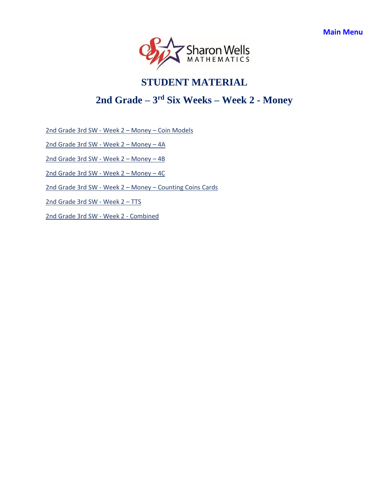

### <span id="page-5-0"></span>**2nd Grade – 3 rd Six Weeks – Week 2 - Money**

2nd Grade 3rd SW - Week 2 – Money – [Coin Models](https://access.sharonwells.com/bwCHtB)

[2nd Grade](https://access.sharonwells.com/NJ4Hqr) 3rd SW - Week 2 – Money – 4A

[2nd Grade](https://access.sharonwells.com/XffXNj) 3rd SW - Week 2 – Money – 4B

[2nd Grade](https://access.sharonwells.com/Wvnap3) 3rd SW - Week 2 – Money – 4C

2nd Grade 3rd SW - Week 2 – Money – [Counting Coins Cards](https://access.sharonwells.com/XzTGWK)

[2nd Grade](https://access.sharonwells.com/6uDzbj) 3rd SW - Week 2 - TTS

[2nd Grade](https://access.sharonwells.com/NaJzAb) 3rd SW - Week 2 - Combined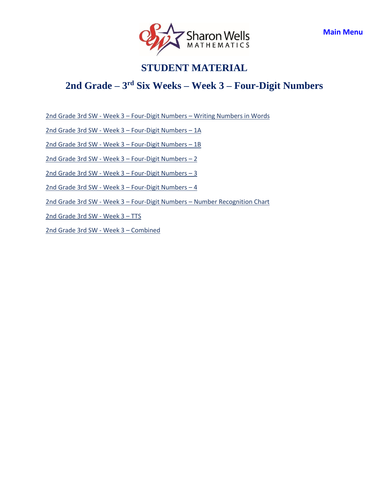

### <span id="page-6-0"></span>**2nd Grade – 3 rd Six Weeks – Week 3 – Four-Digit Numbers**

2nd Grade 3rd SW - Week 3 – Four-Digit Numbers – [Writing Numbers in Words](https://access.sharonwells.com/ewh46X)

2nd Grade 3rd SW - Week 3 – [Four-Digit Numbers](https://access.sharonwells.com/Mza6Zq) – 1A

2nd Grade 3rd SW - Week 3 – [Four-Digit Numbers](https://access.sharonwells.com/MKR6hN) – 1B

2nd Grade 3rd SW - Week 3 – [Four-Digit Numbers](https://access.sharonwells.com/HgFCBy) – 2

2nd Grade 3rd SW - Week 3 – [Four-Digit Numbers](https://access.sharonwells.com/3aYWz4) – 3

2nd Grade 3rd SW - Week 3 – [Four-Digit Numbers](https://access.sharonwells.com/Uf4uUd) – 4

2nd Grade 3rd SW - Week 3 – Four-Digit Numbers – [Number Recognition Chart](https://access.sharonwells.com/FQug6J)

[2nd Grade](https://access.sharonwells.com/vhychF) 3rd SW - Week 3 - TTS

[2nd Grade](https://access.sharonwells.com/brxJTG) 3rd SW - Week 3 – Combined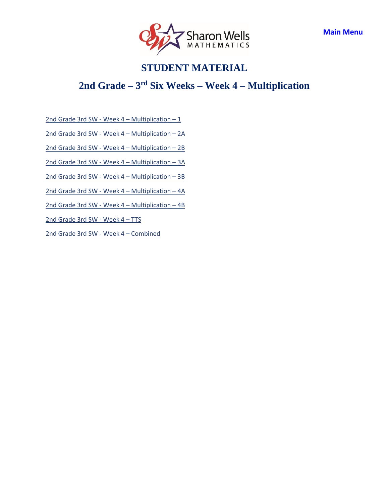

### <span id="page-7-0"></span>**2nd Grade – 3 rd Six Weeks – Week 4 – Multiplication**

2nd Grade 3rd SW - Week  $4$  – [Multiplication](https://access.sharonwells.com/RkuwAY) – 1

2nd Grade 3rd SW - Week 4 – [Multiplication](https://access.sharonwells.com/Wxctum) – 2A

2nd Grade 3rd SW - Week 4 – [Multiplication](https://access.sharonwells.com/2QXh6u) – 2B

2nd Grade 3rd SW - Week 4 – [Multiplication](https://access.sharonwells.com/6atMN7) – 3A

2nd Grade 3rd SW - Week 4 – [Multiplication](https://access.sharonwells.com/nNPBCj) – 3B

2nd Grade 3rd SW - Week 4 – [Multiplication](https://access.sharonwells.com/XrhygX) – 4A

2nd Grade 3rd SW - Week 4 – [Multiplication](https://access.sharonwells.com/knQvfa) – 4B

[2nd Grade](https://access.sharonwells.com/9BE6Tb) 3rd SW - Week 4 - TTS

[2nd Grade](https://access.sharonwells.com/46QZ8t) 3rd SW - Week 4 – Combined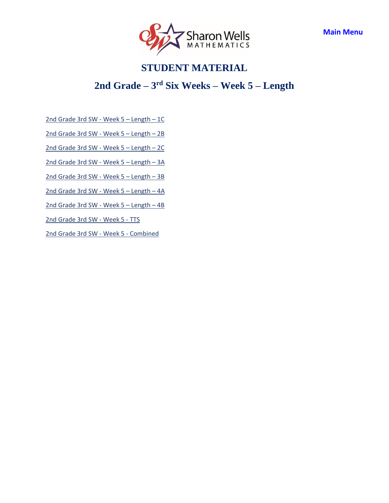

### <span id="page-8-0"></span>**2nd Grade – 3 rd Six Weeks – Week 5 – Length**

[2nd Grade](https://access.sharonwells.com/wCHtvf) 3rd SW - Week 5 – Length – 1C

[2nd Grade](https://access.sharonwells.com/pvhBuJ) 3rd SW - Week 5 – Length – 2B

[2nd Grade](https://access.sharonwells.com/VK2zGk) 3rd SW - Week 5 – Length – 2C

[2nd Grade](https://access.sharonwells.com/UxyX4x) 3rd SW - Week 5 – Length – 3A

[2nd Grade](https://access.sharonwells.com/C2enKT) 3rd SW - Week 5 – Length – 3B

[2nd Grade](https://access.sharonwells.com/eapnyt) 3rd SW - Week 5 – Length – 4A

[2nd Grade](https://access.sharonwells.com/3M6xPR) 3rd SW - Week 5 – Length – 4B

[2nd Grade](https://access.sharonwells.com/UEQg8n) 3rd SW - Week 5 - TTS

[2nd Grade](https://access.sharonwells.com/vjPRna) 3rd SW - Week 5 - Combined